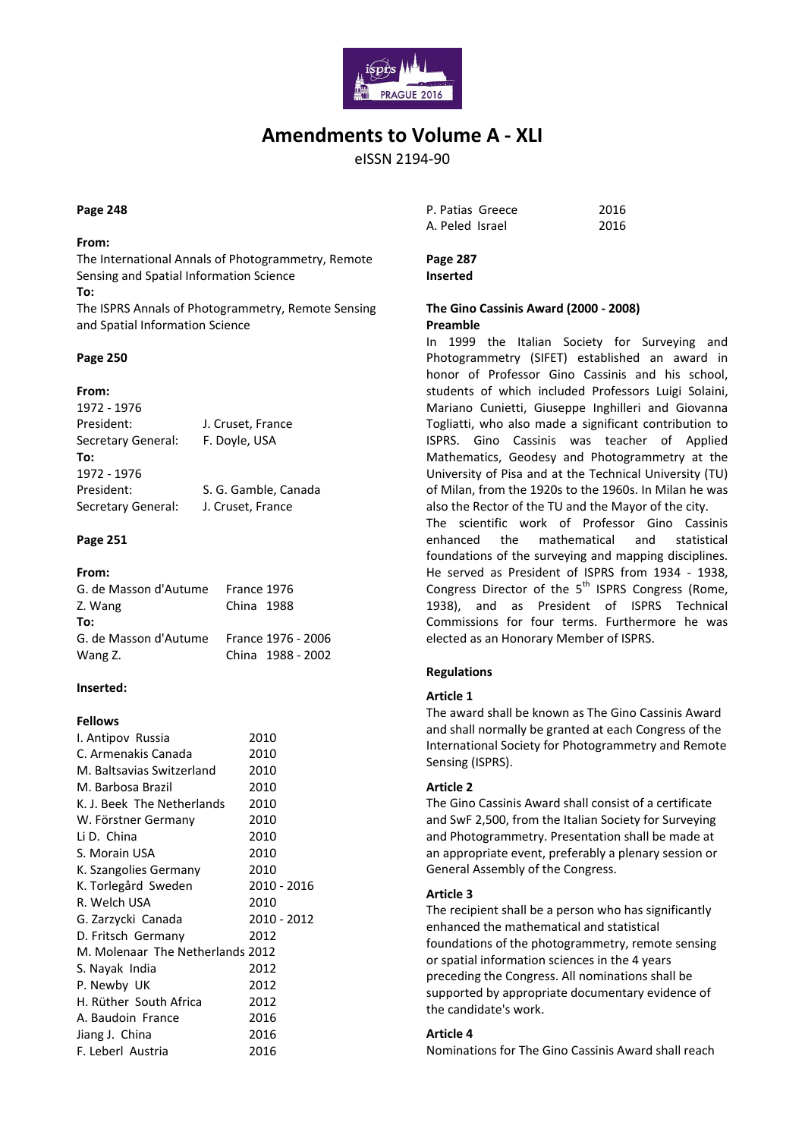

# **Amendments to Volume A - XLI**

eISSN 2194-90

#### **Page 248**

#### **From:**

The International Annals of Photogrammetry, Remote Sensing and Spatial Information Science

**To:**

The ISPRS Annals of Photogrammetry, Remote Sensing and Spatial Information Science

## **Page 250**

## **From:**

1972 - 1976 President: J. Cruset, France Secretary General: F. Doyle, USA **To:** 1972 - 1976 President: S. G. Gamble, Canada Secretary General: J. Cruset, France

## **Page 251**

| From:                 |             |                    |  |
|-----------------------|-------------|--------------------|--|
| G. de Masson d'Autume | France 1976 |                    |  |
| Z. Wang               | China 1988  |                    |  |
| To:                   |             |                    |  |
| G. de Masson d'Autume |             | France 1976 - 2006 |  |
| Wang Z.               |             | China 1988 - 2002  |  |
|                       |             |                    |  |

## **Inserted:**

## **Fellows**

| I. Antipov Russia                | 2010        |
|----------------------------------|-------------|
| C. Armenakis Canada              | 2010        |
| M. Baltsavias Switzerland        | 2010        |
| M. Barbosa Brazil                | 2010        |
| K. J. Beek The Netherlands       | 2010        |
| W. Förstner Germany              | 2010        |
| Li D. China                      | 2010        |
| S. Morain USA                    | 2010        |
| K. Szangolies Germany            | 2010        |
| K. Torlegård Sweden              | 2010 - 2016 |
| R. Welch USA                     | 2010        |
| G. Zarzycki Canada               | 2010 - 2012 |
| D. Fritsch Germany               | 2012        |
| M. Molenaar The Netherlands 2012 |             |
| S. Nayak India                   | 2012        |
| P. Newby UK                      | 2012        |
| H. Rüther South Africa           | 2012        |
| A. Baudoin France                | 2016        |
| Jiang J. China                   | 2016        |
| F. Leberl Austria                | 2016        |

| P. Patias Greece | 2016 |
|------------------|------|
| A. Peled Israel  | 2016 |

**Page 287 Inserted**

## **The Gino Cassinis Award (2000 - 2008) Preamble**

In 1999 the Italian Society for Surveying and Photogrammetry (SIFET) established an award in honor of Professor Gino Cassinis and his school, students of which included Professors Luigi Solaini, Mariano Cunietti, Giuseppe Inghilleri and Giovanna Togliatti, who also made a significant contribution to ISPRS. Gino Cassinis was teacher of Applied Mathematics, Geodesy and Photogrammetry at the University of Pisa and at the Technical University (TU) of Milan, from the 1920s to the 1960s. In Milan he was also the Rector of the TU and the Mayor of the city. The scientific work of Professor Gino Cassinis enhanced the mathematical and statistical foundations of the surveying and mapping disciplines. He served as President of ISPRS from 1934 - 1938, Congress Director of the  $5<sup>th</sup>$  ISPRS Congress (Rome, 1938), and as President of ISPRS Technical Commissions for four terms. Furthermore he was elected as an Honorary Member of ISPRS.

## **Regulations**

## **Article 1**

The award shall be known as The Gino Cassinis Award and shall normally be granted at each Congress of the International Society for Photogrammetry and Remote Sensing (ISPRS).

#### **Article 2**

The Gino Cassinis Award shall consist of a certificate and SwF 2,500, from the Italian Society for Surveying and Photogrammetry. Presentation shall be made at an appropriate event, preferably a plenary session or General Assembly of the Congress.

#### **Article 3**

The recipient shall be a person who has significantly enhanced the mathematical and statistical foundations of the photogrammetry, remote sensing or spatial information sciences in the 4 years preceding the Congress. All nominations shall be supported by appropriate documentary evidence of the candidate's work.

## **Article 4**

Nominations for The Gino Cassinis Award shall reach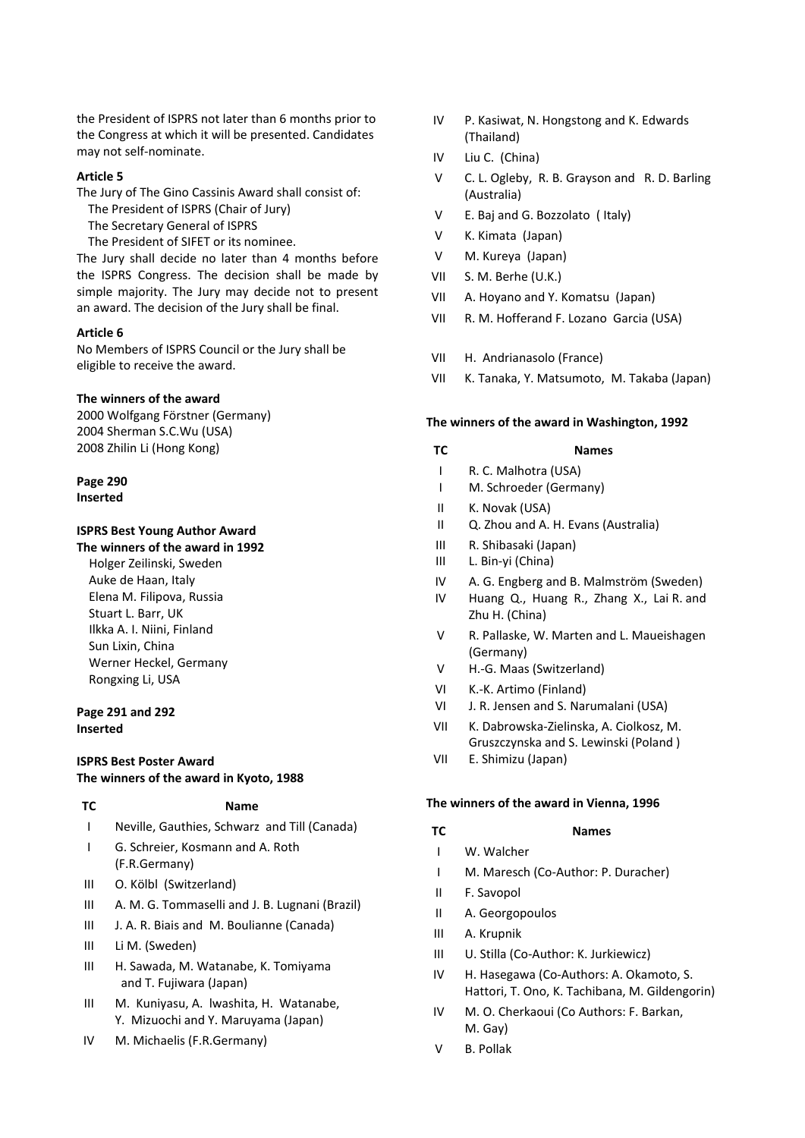the President of ISPRS not later than 6 months prior to the Congress at which it will be presented. Candidates may not self-nominate.

#### **Article 5**

- The Jury of The Gino Cassinis Award shall consist of:
	- The President of ISPRS (Chair of Jury)
	- The Secretary General of ISPRS
	- The President of SIFET or its nominee.

The Jury shall decide no later than 4 months before the ISPRS Congress. The decision shall be made by simple majority. The Jury may decide not to present an award. The decision of the Jury shall be final.

#### **Article 6**

No Members of ISPRS Council or the Jury shall be eligible to receive the award.

## **The winners of the award**

2000 Wolfgang Förstner (Germany) 2004 Sherman S.C.Wu (USA) 2008 Zhilin Li (Hong Kong)

#### **Page 290 Inserted**

## **ISPRS Best Young Author Award**

**The winners of the award in 1992**

 Holger Zeilinski, Sweden Auke de Haan, Italy Elena M. Filipova, Russia Stuart L. Barr, UK Ilkka A. I. Niini, Finland Sun Lixin, China Werner Heckel, Germany Rongxing Li, USA

## **Page 291 and 292 Inserted**

## **ISPRS Best Poster Award The winners of the award in Kyoto, 1988**

#### **TC Name**

- I Neville, Gauthies, Schwarz and Till (Canada)
- I G. Schreier, Kosmann and A. Roth (F.R.Germany)
- III O. Kölbl (Switzerland)
- III A. M. G. Tommaselli and J. B. Lugnani (Brazil)
- III J. A. R. Biais and M. Boulianne (Canada)
- III Li M. (Sweden)
- III H. Sawada, M. Watanabe, K. Tomiyama and T. Fujiwara (Japan)
- III M. Kuniyasu, A. lwashita, H. Watanabe, Y. Mizuochi and Y. Maruyama (Japan)
- IV M. Michaelis (F.R.Germany)
- IV P. Kasiwat, N. Hongstong and K. Edwards (Thailand)
- IV Liu C. (China)
- V C. L. Ogleby, R. B. Grayson and R. D. Barling (Australia)
- V E. Baj and G. Bozzolato ( Italy)
- V K. Kimata (Japan)
- V M. Kureya (Japan)
- VII S. M. Berhe (U.K.)
- VII A. Hoyano and Y. Komatsu (Japan)
- VII R. M. Hofferand F. Lozano Garcia (USA)
- VII H. Andrianasolo (France)
- VII K. Tanaka, Y. Matsumoto, M. Takaba (Japan)

#### **The winners of the award in Washington, 1992**

- **TC Names**
- I R. C. Malhotra (USA)
- I M. Schroeder (Germany)
- II K. Novak (USA)
- II Q. Zhou and A. H. Evans (Australia)
- III R. Shibasaki (Japan)
- III L. Bin-yi (China)
- IV A. G. Engberg and B. Malmström (Sweden)
- IV Huang Q., Huang R., Zhang X., Lai R. and Zhu H. (China)
- $\mathbf{V}$ R. Pallaske, W. Marten and L. Maueishagen (Germany)
- $\overline{V}$ H.-G. Maas (Switzerland)
- VI K.-K. Artimo (Finland)
- VI J. R. Jensen and S. Narumalani (USA)
- VII K. Dabrowska-Zielinska, A. Ciolkosz, M. Gruszczynska and S. Lewinski (Poland )
- VII E. Shimizu (Japan)

#### **The winners of the award in Vienna, 1996**

- **TC Names**
- I W. Walcher
- I M. Maresch (Co-Author: P. Duracher)
- II F. Savopol
- II A. Georgopoulos
- III A. Krupnik
- III U. Stilla (Co-Author: K. Jurkiewicz)
- IV H. Hasegawa (Co-Authors: A. Okamoto, S. Hattori, T. Ono, K. Tachibana, M. Gildengorin)
- IV M. O. Cherkaoui (Co Authors: F. Barkan, M. Gay)
- V B. Pollak